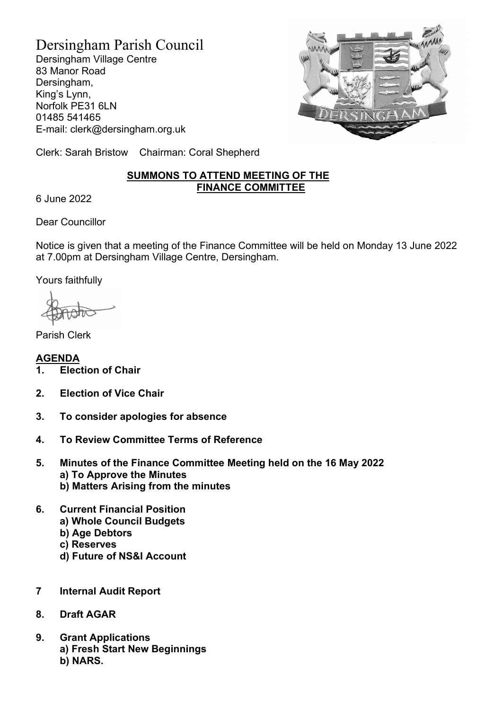Dersingham Parish Council Dersingham Village Centre 83 Manor Road Dersingham, King's Lynn, Norfolk PE31 6LN 01485 541465 E-mail: clerk@dersingham.org.uk



Clerk: Sarah Bristow Chairman: Coral Shepherd

## SUMMONS TO ATTEND MEETING OF THE FINANCE COMMITTEE

6 June 2022

Dear Councillor

Notice is given that a meeting of the Finance Committee will be held on Monday 13 June 2022 at 7.00pm at Dersingham Village Centre, Dersingham.

Yours faithfully

Parish Clerk

AGENDA 1. Election of Chair

- 2. Election of Vice Chair
- 3. To consider apologies for absence
- 4. To Review Committee Terms of Reference
- 5. Minutes of the Finance Committee Meeting held on the 16 May 2022 a) To Approve the Minutes
	- b) Matters Arising from the minutes
- 6. Current Financial Position a) Whole Council Budgets
	- b) Age Debtors
	- c) Reserves
	- d) Future of NS&I Account
- 7 Internal Audit Report
- 8. Draft AGAR
- 9. Grant Applications a) Fresh Start New Beginnings b) NARS.